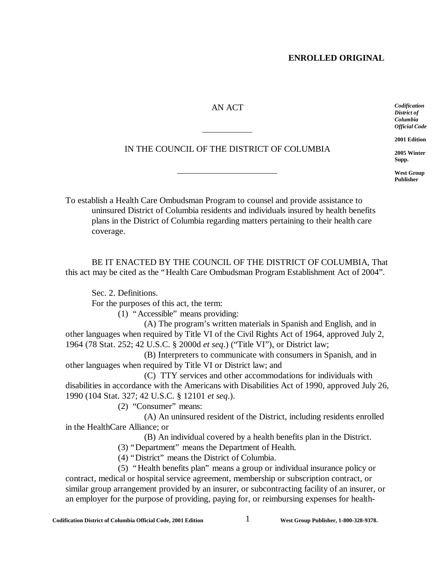# AN ACT

 $\overline{a}$ 

IN THE COUNCIL OF THE DISTRICT OF COLUMBIA

*Official Code* **2001 Edition 2005 Winter**

*Codification District of Columbia*

**Supp. West Group**

**Publisher**

To establish a Health Care Ombudsman Program to counsel and provide assistance to uninsured District of Columbia residents and individuals insured by health benefits plans in the District of Columbia regarding matters pertaining to their health care coverage.

BE IT ENACTED BY THE COUNCIL OF THE DISTRICT OF COLUMBIA, That this act may be cited as the "Health Care Ombudsman Program Establishment Act of 2004".

Sec. 2. Definitions.

For the purposes of this act, the term:

(1) "Accessible" means providing:

 $\overline{a}$ 

(A) The program's written materials in Spanish and English, and in other languages when required by Title VI of the Civil Rights Act of 1964, approved July 2, 1964 (78 Stat. 252; 42 U.S.C. § 2000d *et seq*.) ("Title VI"), or District law;

(B) Interpreters to communicate with consumers in Spanish, and in other languages when required by Title VI or District law; and

(C) TTY services and other accommodations for individuals with disabilities in accordance with the Americans with Disabilities Act of 1990, approved July 26, 1990 (104 Stat. 327; 42 U.S.C. § 12101 *et seq*.).

(2) "Consumer" means:

(A) An uninsured resident of the District, including residents enrolled in the HealthCare Alliance; or

(B) An individual covered by a health benefits plan in the District.

(3) "Department" means the Department of Health.

(4) "District" means the District of Columbia.

(5) "Health benefits plan" means a group or individual insurance policy or contract, medical or hospital service agreement, membership or subscription contract, or similar group arrangement provided by an insurer, or subcontracting facility of an insurer, or an employer for the purpose of providing, paying for, or reimbursing expenses for health-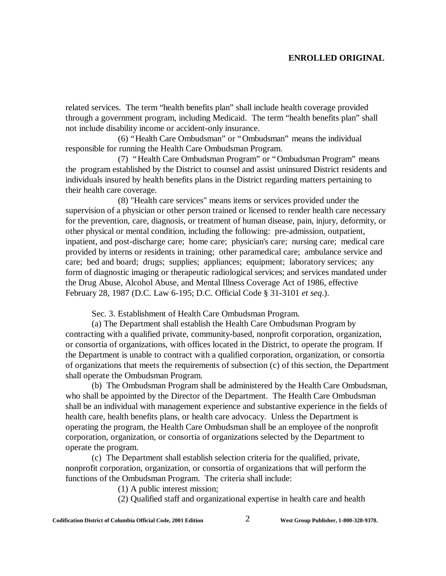related services. The term "health benefits plan" shall include health coverage provided through a government program, including Medicaid. The term "health benefits plan" shall not include disability income or accident-only insurance.

(6) "Health Care Ombudsman" or "Ombudsman" means the individual responsible for running the Health Care Ombudsman Program.

(7) "Health Care Ombudsman Program" or "Ombudsman Program" means the program established by the District to counsel and assist uninsured District residents and individuals insured by health benefits plans in the District regarding matters pertaining to their health care coverage.

(8) "Health care services" means items or services provided under the supervision of a physician or other person trained or licensed to render health care necessary for the prevention, care, diagnosis, or treatment of human disease, pain, injury, deformity, or other physical or mental condition, including the following: pre-admission, outpatient, inpatient, and post-discharge care; home care; physician's care; nursing care; medical care provided by interns or residents in training; other paramedical care; ambulance service and care; bed and board; drugs; supplies; appliances; equipment; laboratory services; any form of diagnostic imaging or therapeutic radiological services; and services mandated under the Drug Abuse, Alcohol Abuse, and Mental Illness Coverage Act of 1986, effective February 28, 1987 (D.C. Law 6-195; D.C. Official Code § 31-3101 *et seq*.).

Sec. 3. Establishment of Health Care Ombudsman Program.

(a) The Department shall establish the Health Care Ombudsman Program by contracting with a qualified private, community-based, nonprofit corporation, organization, or consortia of organizations, with offices located in the District, to operate the program. If the Department is unable to contract with a qualified corporation, organization, or consortia of organizations that meets the requirements of subsection (c) of this section, the Department shall operate the Ombudsman Program.

(b) The Ombudsman Program shall be administered by the Health Care Ombudsman, who shall be appointed by the Director of the Department. The Health Care Ombudsman shall be an individual with management experience and substantive experience in the fields of health care, health benefits plans, or health care advocacy. Unless the Department is operating the program, the Health Care Ombudsman shall be an employee of the nonprofit corporation, organization, or consortia of organizations selected by the Department to operate the program.

(c) The Department shall establish selection criteria for the qualified, private, nonprofit corporation, organization, or consortia of organizations that will perform the functions of the Ombudsman Program. The criteria shall include:

(1) A public interest mission;

(2) Qualified staff and organizational expertise in health care and health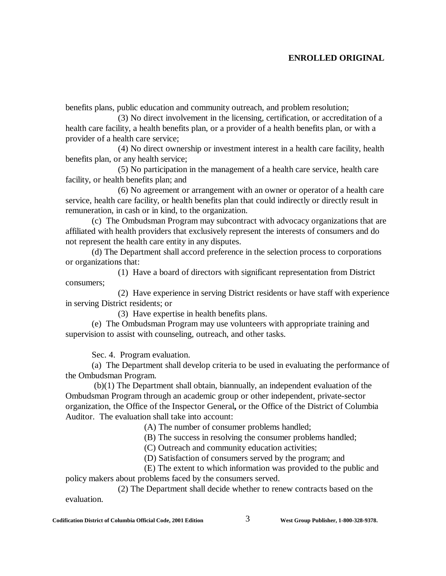benefits plans, public education and community outreach, and problem resolution;

(3) No direct involvement in the licensing, certification, or accreditation of a health care facility, a health benefits plan, or a provider of a health benefits plan, or with a provider of a health care service;

(4) No direct ownership or investment interest in a health care facility, health benefits plan, or any health service;

(5) No participation in the management of a health care service, health care facility, or health benefits plan; and

(6) No agreement or arrangement with an owner or operator of a health care service, health care facility, or health benefits plan that could indirectly or directly result in remuneration, in cash or in kind, to the organization.

(c) The Ombudsman Program may subcontract with advocacy organizations that are affiliated with health providers that exclusively represent the interests of consumers and do not represent the health care entity in any disputes.

(d) The Department shall accord preference in the selection process to corporations or organizations that:

(1) Have a board of directors with significant representation from District consumers;

(2) Have experience in serving District residents or have staff with experience in serving District residents; or

(3) Have expertise in health benefits plans.

(e) The Ombudsman Program may use volunteers with appropriate training and supervision to assist with counseling, outreach, and other tasks.

Sec. 4. Program evaluation.

(a) The Department shall develop criteria to be used in evaluating the performance of the Ombudsman Program.

 (b)(1) The Department shall obtain, biannually, an independent evaluation of the Ombudsman Program through an academic group or other independent, private-sector organization, the Office of the Inspector General**,** or the Office of the District of Columbia Auditor. The evaluation shall take into account:

(A) The number of consumer problems handled;

(B) The success in resolving the consumer problems handled;

(C) Outreach and community education activities;

(D) Satisfaction of consumers served by the program; and

(E) The extent to which information was provided to the public and policy makers about problems faced by the consumers served.

(2) The Department shall decide whether to renew contracts based on the evaluation.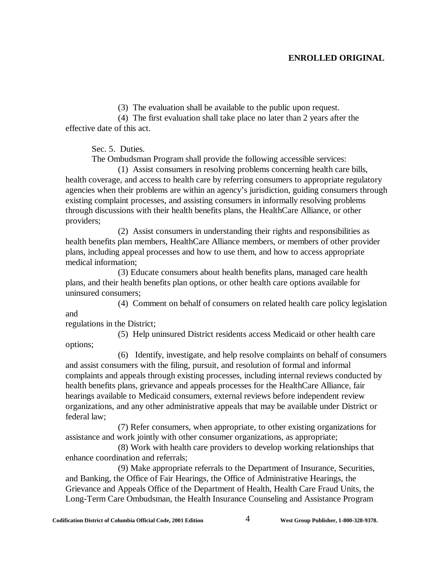(3) The evaluation shall be available to the public upon request.

(4) The first evaluation shall take place no later than 2 years after the effective date of this act.

Sec. 5. Duties.

The Ombudsman Program shall provide the following accessible services:

(1) Assist consumers in resolving problems concerning health care bills, health coverage, and access to health care by referring consumers to appropriate regulatory agencies when their problems are within an agency's jurisdiction, guiding consumers through existing complaint processes, and assisting consumers in informally resolving problems through discussions with their health benefits plans, the HealthCare Alliance, or other providers;

(2) Assist consumers in understanding their rights and responsibilities as health benefits plan members, HealthCare Alliance members, or members of other provider plans, including appeal processes and how to use them, and how to access appropriate medical information;

(3) Educate consumers about health benefits plans, managed care health plans, and their health benefits plan options, or other health care options available for uninsured consumers;

(4) Comment on behalf of consumers on related health care policy legislation and

regulations in the District;

(5) Help uninsured District residents access Medicaid or other health care

options;

(6) Identify, investigate, and help resolve complaints on behalf of consumers and assist consumers with the filing, pursuit, and resolution of formal and informal complaints and appeals through existing processes, including internal reviews conducted by health benefits plans, grievance and appeals processes for the HealthCare Alliance, fair hearings available to Medicaid consumers, external reviews before independent review organizations, and any other administrative appeals that may be available under District or federal law;

(7) Refer consumers, when appropriate, to other existing organizations for assistance and work jointly with other consumer organizations, as appropriate;

(8) Work with health care providers to develop working relationships that enhance coordination and referrals;

(9) Make appropriate referrals to the Department of Insurance, Securities, and Banking, the Office of Fair Hearings, the Office of Administrative Hearings, the Grievance and Appeals Office of the Department of Health, Health Care Fraud Units, the Long-Term Care Ombudsman, the Health Insurance Counseling and Assistance Program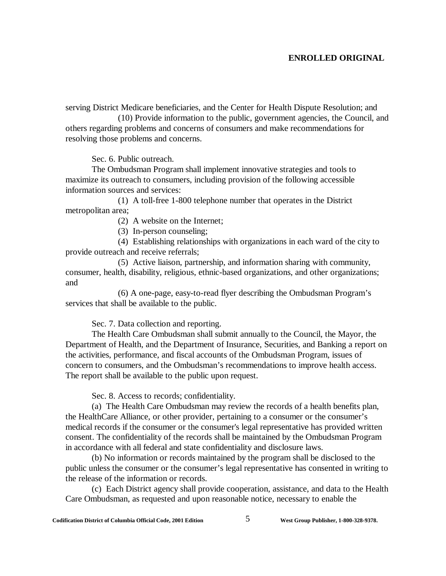serving District Medicare beneficiaries, and the Center for Health Dispute Resolution; and

(10) Provide information to the public, government agencies, the Council, and others regarding problems and concerns of consumers and make recommendations for resolving those problems and concerns.

Sec. 6. Public outreach.

The Ombudsman Program shall implement innovative strategies and tools to maximize its outreach to consumers, including provision of the following accessible information sources and services:

(1) A toll-free 1-800 telephone number that operates in the District metropolitan area;

(2) A website on the Internet;

(3) In-person counseling;

(4) Establishing relationships with organizations in each ward of the city to provide outreach and receive referrals;

(5) Active liaison, partnership, and information sharing with community, consumer, health, disability, religious, ethnic-based organizations, and other organizations; and

(6) A one-page, easy-to-read flyer describing the Ombudsman Program's services that shall be available to the public.

Sec. 7. Data collection and reporting.

The Health Care Ombudsman shall submit annually to the Council, the Mayor, the Department of Health, and the Department of Insurance, Securities, and Banking a report on the activities, performance, and fiscal accounts of the Ombudsman Program, issues of concern to consumers, and the Ombudsman's recommendations to improve health access. The report shall be available to the public upon request.

Sec. 8. Access to records; confidentiality.

(a) The Health Care Ombudsman may review the records of a health benefits plan, the HealthCare Alliance, or other provider, pertaining to a consumer or the consumer's medical records if the consumer or the consumer's legal representative has provided written consent. The confidentiality of the records shall be maintained by the Ombudsman Program in accordance with all federal and state confidentiality and disclosure laws.

(b) No information or records maintained by the program shall be disclosed to the public unless the consumer or the consumer's legal representative has consented in writing to the release of the information or records.

(c) Each District agency shall provide cooperation, assistance, and data to the Health Care Ombudsman, as requested and upon reasonable notice, necessary to enable the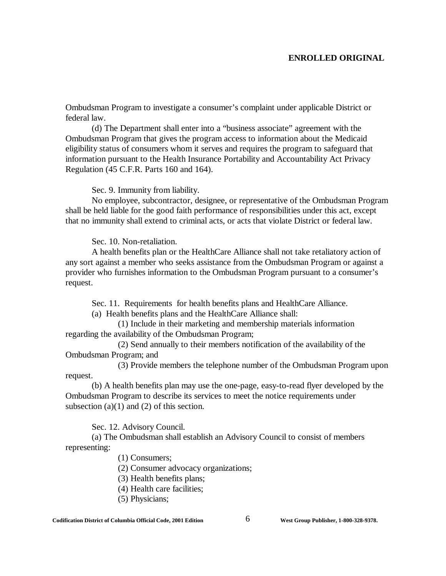Ombudsman Program to investigate a consumer's complaint under applicable District or federal law.

(d) The Department shall enter into a "business associate" agreement with the Ombudsman Program that gives the program access to information about the Medicaid eligibility status of consumers whom it serves and requires the program to safeguard that information pursuant to the Health Insurance Portability and Accountability Act Privacy Regulation (45 C.F.R. Parts 160 and 164).

Sec. 9. Immunity from liability.

No employee, subcontractor, designee, or representative of the Ombudsman Program shall be held liable for the good faith performance of responsibilities under this act, except that no immunity shall extend to criminal acts, or acts that violate District or federal law.

Sec. 10. Non-retaliation.

A health benefits plan or the HealthCare Alliance shall not take retaliatory action of any sort against a member who seeks assistance from the Ombudsman Program or against a provider who furnishes information to the Ombudsman Program pursuant to a consumer's request.

Sec. 11. Requirements for health benefits plans and HealthCare Alliance.

(a) Health benefits plans and the HealthCare Alliance shall:

(1) Include in their marketing and membership materials information regarding the availability of the Ombudsman Program;

(2) Send annually to their members notification of the availability of the Ombudsman Program; and

(3) Provide members the telephone number of the Ombudsman Program upon request.

(b) A health benefits plan may use the one-page, easy-to-read flyer developed by the Ombudsman Program to describe its services to meet the notice requirements under subsection  $(a)(1)$  and  $(2)$  of this section.

Sec. 12. Advisory Council.

(a) The Ombudsman shall establish an Advisory Council to consist of members representing:

(1) Consumers;

(2) Consumer advocacy organizations;

- (3) Health benefits plans;
- (4) Health care facilities;
- (5) Physicians;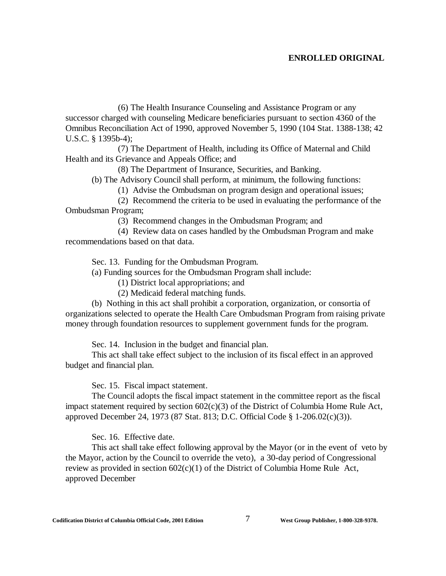(6) The Health Insurance Counseling and Assistance Program or any successor charged with counseling Medicare beneficiaries pursuant to section 4360 of the Omnibus Reconciliation Act of 1990, approved November 5, 1990 (104 Stat. 1388-138; 42 U.S.C. § 1395b-4);

(7) The Department of Health, including its Office of Maternal and Child Health and its Grievance and Appeals Office; and

(8) The Department of Insurance, Securities, and Banking.

(b) The Advisory Council shall perform, at minimum, the following functions:

(1) Advise the Ombudsman on program design and operational issues;

(2) Recommend the criteria to be used in evaluating the performance of the Ombudsman Program;

(3) Recommend changes in the Ombudsman Program; and

(4) Review data on cases handled by the Ombudsman Program and make recommendations based on that data.

Sec. 13. Funding for the Ombudsman Program.

(a) Funding sources for the Ombudsman Program shall include:

(1) District local appropriations; and

(2) Medicaid federal matching funds.

(b) Nothing in this act shall prohibit a corporation, organization, or consortia of organizations selected to operate the Health Care Ombudsman Program from raising private money through foundation resources to supplement government funds for the program.

Sec. 14. Inclusion in the budget and financial plan.

This act shall take effect subject to the inclusion of its fiscal effect in an approved budget and financial plan.

Sec. 15. Fiscal impact statement.

The Council adopts the fiscal impact statement in the committee report as the fiscal impact statement required by section  $602(c)(3)$  of the District of Columbia Home Rule Act, approved December 24, 1973 (87 Stat. 813; D.C. Official Code § 1-206.02(c)(3)).

Sec. 16. Effective date.

This act shall take effect following approval by the Mayor (or in the event of veto by the Mayor, action by the Council to override the veto), a 30-day period of Congressional review as provided in section  $602(c)(1)$  of the District of Columbia Home Rule Act, approved December